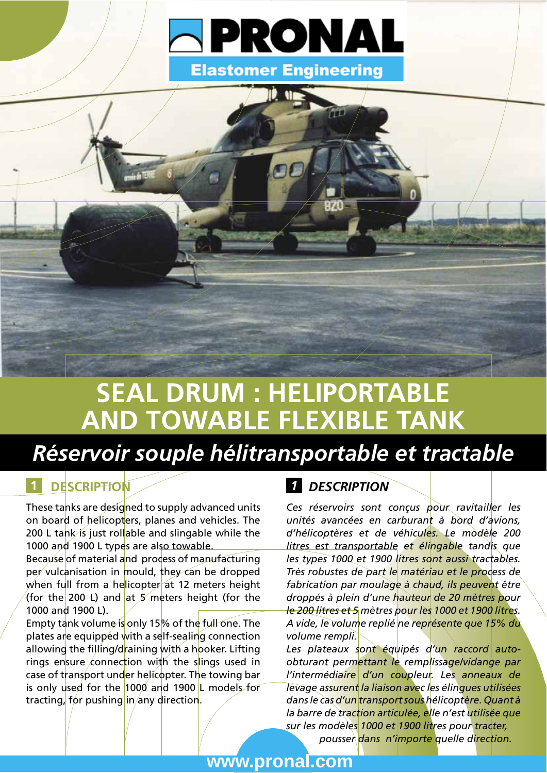



# **SEAL DRUM : HELIPORTABLE** AND TOWABLE FLEXIBLE TANK

### Réservoir souple hélitransportable et tractable

### **DESCRIPTION**

These tanks are designed to supply advanced units on board of helicopters, planes and vehicles. The 200 L tank is just rollable and slingable while the 1000 and 1900 L types are also towable.

Because of material and process of manufacturing per vulcanisation in mould, they can be dropped when full from a helicopter at 12 meters height (for the 200 L) and at  $5$  meters height (for the 1000 and 1900 L).

Empty tank volume is only 15% of the full one. The plates are equipped with a self-sealing connection allowing the filling/draining with a hooker. Lifting rings ensure connection with the slings used in case of transport under helicopter. The towing bar is only used for the 1000 and 1900 L models for tracting, for pushing in any direction.

#### **1** DESCRIPTION

Ces réservoirs sont conçus pour ravitailler les unités avancées en carburant à bord d'avions. d'hélicoptères et de véhicules. Le modèle 200 litres est transportable et élingable tandis que les types 1000 et 1900 litres sont aussi tractables. Très robustes de part le matériau et le process de fabrication par moulage à chaud, ils peuvent être droppés à plein d'une hauteur de 20 mètres pour le 200 litres et 5 mètres pour les 1000 et 1900 litres. A vide, le volume replié ne représente que 15% du volume rempli.

Les plateaux sont équipés d'un raccord autoobturant permettant le remplissage/vidange par l'intermédiaire d'un coupleur. Les anneaux de Tevage assurent la liaison avec les élingues utilisées dans le cas d'un transport sous hélicoptère. Quant à la barre de traction articulée, elle n'est utilisée que sur les modèles 1000 et 1900 litres pour tracter, pousser dans n'importe quelle direction.

www.pronal.com